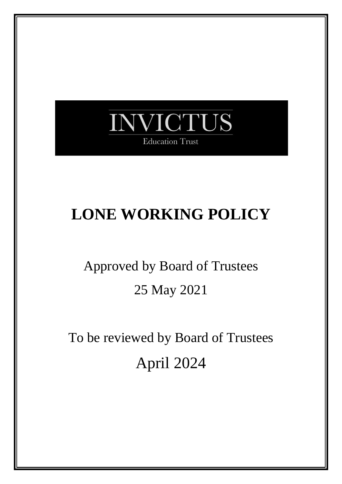

## **LONE WORKING POLICY**

# Approved by Board of Trustees 25 May 2021

To be reviewed by Board of Trustees April 2024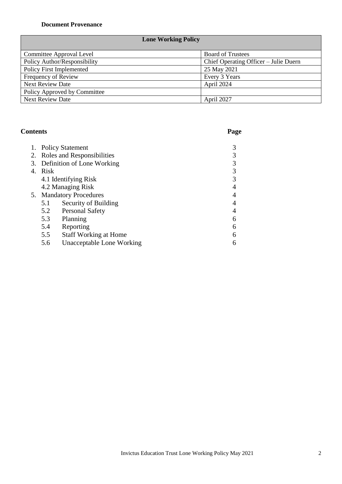#### **Document Provenance**

## **Lone Working Policy**

| Committee Approval Level     | <b>Board of Trustees</b>              |
|------------------------------|---------------------------------------|
| Policy Author/Responsibility | Chief Operating Officer – Julie Duern |
| Policy First Implemented     | 25 May 2021                           |
| Frequency of Review          | Every 3 Years                         |
| <b>Next Review Date</b>      | April 2024                            |
| Policy Approved by Committee |                                       |
| <b>Next Review Date</b>      | April 2027                            |

## **Contents Page**

| 1.      | <b>Policy Statement</b>       |                              |   |
|---------|-------------------------------|------------------------------|---|
|         | 2. Roles and Responsibilities |                              |   |
|         | 3. Definition of Lone Working |                              |   |
| 4. Risk |                               |                              |   |
|         | 4.1 Identifying Risk          |                              |   |
|         | 4.2 Managing Risk             |                              |   |
|         | 5. Mandatory Procedures       |                              |   |
|         | 5.1                           | Security of Building         |   |
|         | 5.2                           | <b>Personal Safety</b>       |   |
|         | 5.3                           | Planning                     | 6 |
|         | 5.4                           | Reporting                    | 6 |
|         | 5.5                           | <b>Staff Working at Home</b> | 6 |
|         | 5.6                           | Unacceptable Lone Working    | 6 |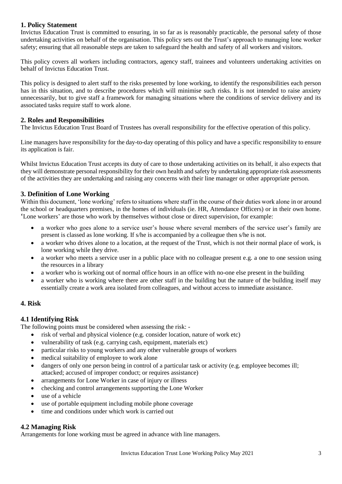#### **1. Policy Statement**

Invictus Education Trust is committed to ensuring, in so far as is reasonably practicable, the personal safety of those undertaking activities on behalf of the organisation. This policy sets out the Trust's approach to managing lone worker safety; ensuring that all reasonable steps are taken to safeguard the health and safety of all workers and visitors.

This policy covers all workers including contractors, agency staff, trainees and volunteers undertaking activities on behalf of Invictus Education Trust.

This policy is designed to alert staff to the risks presented by lone working, to identify the responsibilities each person has in this situation, and to describe procedures which will minimise such risks. It is not intended to raise anxiety unnecessarily, but to give staff a framework for managing situations where the conditions of service delivery and its associated tasks require staff to work alone.

#### **2. Roles and Responsibilities**

The Invictus Education Trust Board of Trustees has overall responsibility for the effective operation of this policy.

Line managers have responsibility for the day-to-day operating of this policy and have a specific responsibility to ensure its application is fair.

Whilst Invictus Education Trust accepts its duty of care to those undertaking activities on its behalf, it also expects that they will demonstrate personal responsibility for their own health and safety by undertaking appropriate risk assessments of the activities they are undertaking and raising any concerns with their line manager or other appropriate person.

#### **3. Definition of Lone Working**

Within this document, 'lone working' refers to situations where staff in the course of their duties work alone in or around the school or headquarters premises, in the homes of individuals (ie. HR, Attendance Officers) or in their own home. 'Lone workers' are those who work by themselves without close or direct supervision, for example:

- a worker who goes alone to a service user's house where several members of the service user's family are present is classed as lone working. If s/he is accompanied by a colleague then s/he is not.
- a worker who drives alone to a location, at the request of the Trust, which is not their normal place of work, is lone working while they drive.
- a worker who meets a service user in a public place with no colleague present e.g. a one to one session using the resources in a library
- a worker who is working out of normal office hours in an office with no-one else present in the building
- a worker who is working where there are other staff in the building but the nature of the building itself may essentially create a work area isolated from colleagues, and without access to immediate assistance.

#### **4. Risk**

#### **4.1 Identifying Risk**

The following points must be considered when assessing the risk: -

- risk of verbal and physical violence (e.g. consider location, nature of work etc)
- vulnerability of task (e.g. carrying cash, equipment, materials etc)
- particular risks to young workers and any other vulnerable groups of workers
- medical suitability of employee to work alone
- dangers of only one person being in control of a particular task or activity (e.g. employee becomes ill; attacked; accused of improper conduct; or requires assistance)
- arrangements for Lone Worker in case of injury or illness
- checking and control arrangements supporting the Lone Worker
- use of a vehicle
- use of portable equipment including mobile phone coverage
- time and conditions under which work is carried out

#### **4.2 Managing Risk**

Arrangements for lone working must be agreed in advance with line managers.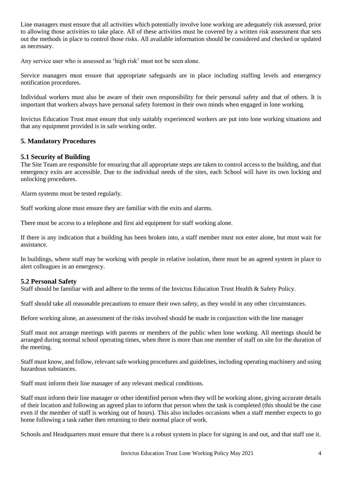Line managers must ensure that all activities which potentially involve lone working are adequately risk assessed, prior to allowing those activities to take place. All of these activities must be covered by a written risk assessment that sets out the methods in place to control those risks. All available information should be considered and checked or updated as necessary.

Any service user who is assessed as 'high risk' must not be seen alone.

Service managers must ensure that appropriate safeguards are in place including staffing levels and emergency notification procedures.

Individual workers must also be aware of their own responsibility for their personal safety and that of others. It is important that workers always have personal safety foremost in their own minds when engaged in lone working.

Invictus Education Trust must ensure that only suitably experienced workers are put into lone working situations and that any equipment provided is in safe working order.

#### **5. Mandatory Procedures**

#### **5.1 Security of Building**

The Site Team are responsible for ensuring that all appropriate steps are taken to control access to the building, and that emergency exits are accessible. Due to the individual needs of the sites, each School will have its own locking and unlocking procedures.

Alarm systems must be tested regularly.

Staff working alone must ensure they are familiar with the exits and alarms.

There must be access to a telephone and first aid equipment for staff working alone.

If there is any indication that a building has been broken into, a staff member must not enter alone, but must wait for assistance.

In buildings, where staff may be working with people in relative isolation, there must be an agreed system in place to alert colleagues in an emergency.

#### **5.2 Personal Safety**

Staff should be familiar with and adhere to the terms of the Invictus Education Trust Health & Safety Policy.

Staff should take all reasonable precautions to ensure their own safety, as they would in any other circumstances.

Before working alone, an assessment of the risks involved should be made in conjunction with the line manager

Staff must not arrange meetings with parents or members of the public when lone working. All meetings should be arranged during normal school operating times, when there is more than one member of staff on site for the duration of the meeting.

Staff must know, and follow, relevant safe working procedures and guidelines, including operating machinery and using hazardous substances.

Staff must inform their line manager of any relevant medical conditions.

Staff must inform their line manager or other identified person when they will be working alone, giving accurate details of their location and following an agreed plan to inform that person when the task is completed (this should be the case even if the member of staff is working out of hours). This also includes occasions when a staff member expects to go home following a task rather then returning to their normal place of work.

Schools and Headquarters must ensure that there is a robust system in place for signing in and out, and that staff use it.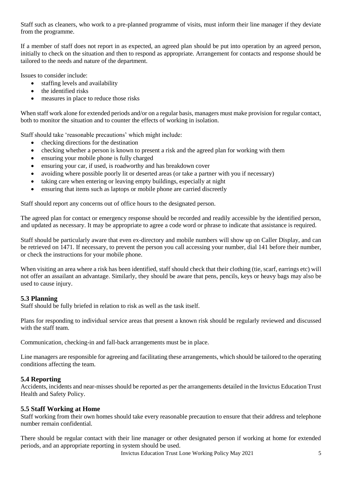Staff such as cleaners, who work to a pre-planned programme of visits, must inform their line manager if they deviate from the programme.

If a member of staff does not report in as expected, an agreed plan should be put into operation by an agreed person, initially to check on the situation and then to respond as appropriate. Arrangement for contacts and response should be tailored to the needs and nature of the department.

Issues to consider include:

- staffing levels and availability
- the identified risks
- measures in place to reduce those risks

When staff work alone for extended periods and/or on a regular basis, managers must make provision for regular contact, both to monitor the situation and to counter the effects of working in isolation.

Staff should take 'reasonable precautions' which might include:

- checking directions for the destination
- checking whether a person is known to present a risk and the agreed plan for working with them
- ensuring your mobile phone is fully charged
- ensuring your car, if used, is roadworthy and has breakdown cover
- avoiding where possible poorly lit or deserted areas (or take a partner with you if necessary)
- taking care when entering or leaving empty buildings, especially at night
- ensuring that items such as laptops or mobile phone are carried discreetly

Staff should report any concerns out of office hours to the designated person.

The agreed plan for contact or emergency response should be recorded and readily accessible by the identified person, and updated as necessary. It may be appropriate to agree a code word or phrase to indicate that assistance is required.

Staff should be particularly aware that even ex-directory and mobile numbers will show up on Caller Display, and can be retrieved on 1471. If necessary, to prevent the person you call accessing your number, dial 141 before their number, or check the instructions for your mobile phone.

When visiting an area where a risk has been identified, staff should check that their clothing (tie, scarf, earrings etc) will not offer an assailant an advantage. Similarly, they should be aware that pens, pencils, keys or heavy bags may also be used to cause injury.

#### **5.3 Planning**

Staff should be fully briefed in relation to risk as well as the task itself.

Plans for responding to individual service areas that present a known risk should be regularly reviewed and discussed with the staff team.

Communication, checking-in and fall-back arrangements must be in place.

Line managers are responsible for agreeing and facilitating these arrangements, which should be tailored to the operating conditions affecting the team.

#### **5.4 Reporting**

Accidents, incidents and near-misses should be reported as per the arrangements detailed in the Invictus Education Trust Health and Safety Policy.

#### **5.5 Staff Working at Home**

Staff working from their own homes should take every reasonable precaution to ensure that their address and telephone number remain confidential.

There should be regular contact with their line manager or other designated person if working at home for extended periods, and an appropriate reporting in system should be used.